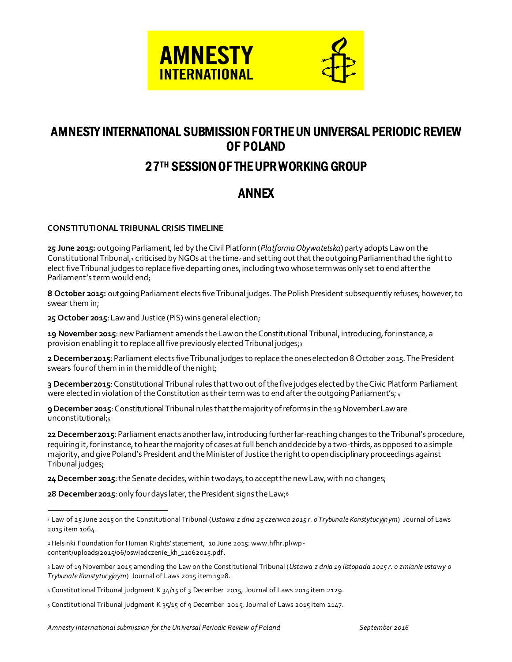



## AMNESTY INTERNATIONAL SUBMISSION FOR THE UN UNIVERSAL PERIODIC REVIEW OF POLAND

## 27TH SESSION OF THE UPR WORKING GROUP

## ANNEX

## **CONSTITUTIONAL TRIBUNAL CRISIS TIMELINE**

**25 June 2015:** outgoing Parliament, led by the Civil Platform (*Platforma Obywatelska*) party adopts Law on the Constitutional Tribunal,<sup>1</sup> criticised by NGOs at the time<sup>2</sup> and setting out that the outgoing Parliament had the right to elect five Tribunal judges to replace five departing ones, including two whose term was only set to end after the Parliament's term would end;

**8 October 2015:** outgoing Parliament elects five Tribunal judges. The Polish President subsequently refuses, however, to swear them in;

**25 October 2015**: Law and Justice (PiS) wins general election;

**19 November 2015**: new Parliament amends the Law on the Constitutional Tribunal, introducing, for instance, a provision enabling it to replace all five previously elected Tribunal judges;3

**2 December 2015**: Parliament elects five Tribunal judges to replace the ones elected on 8 October 2015. The President swears four of them in in the middle of the night;

**3 December 2015**: Constitutional Tribunal rules that two out of the five judges elected by the Civic Platform Parliament were elected in violation of the Constitution as their term was to end after the outgoing Parliament's; 4

**9 December 2015**: Constitutional Tribunal rules that the majority of reforms in the 19 November Law are unconstitutional;5

**22 December 2015**: Parliament enacts another law, introducing further far-reaching changes to the Tribunal's procedure, requiring it, for instance, to hear the majority of cases at full bench and decide by a two-thirds, as opposed to a simple majority, and give Poland's President and the Minister of Justice the right to open disciplinary proceedings against Tribunal judges;

**24 December 2015**: the Senate decides, within two days, to accept the new Law, with no changes;

**28 December 2015**: only four days later, the President signs the Law;<sup>6</sup>

l

<sup>1</sup> Law of 25 June 2015 on the Constitutional Tribunal (*Ustawa z dnia 25 czerwca 2015 r. o Trybunale Konstytucyjnym*) Journal of Laws 2015 item 1064.

<sup>2</sup> Helsinki Foundation for Human Rights' statement, 10 June 2015: www.hfhr.pl/wpcontent/uploads/2015/06/oswiadczenie\_kh\_11062015.pdf.

<sup>3</sup> Law of 19 November 2015 amending the Law on the Constitutional Tribunal (*Ustawa z dnia 19 listopada 2015 r. o zmianie ustawy o Trybunale Konstytucyjnym*) Journal of Laws 2015 item 1928.

<sup>4</sup> Constitutional Tribunal judgment K 34/15 of 3 December 2015, Journal of Laws 2015 item 2129.

<sup>5</sup> Constitutional Tribunal judgment K 35/15 of 9 December 2015, Journal of Laws 2015 item 2147.